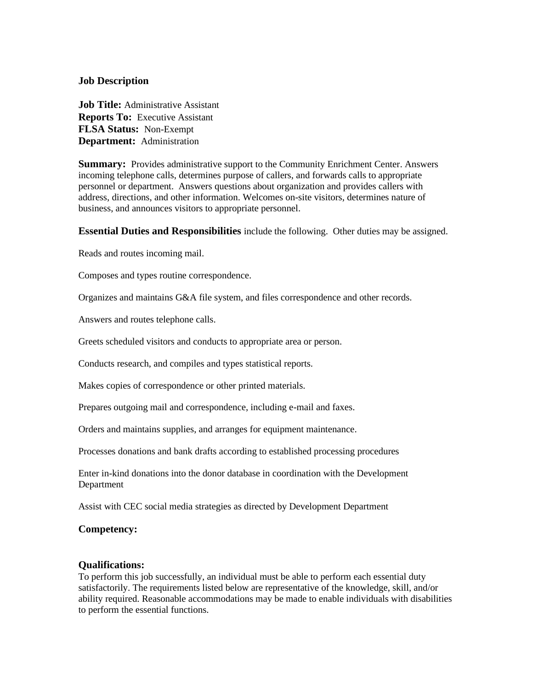## **Job Description**

**Job Title:** Administrative Assistant **Reports To:** Executive Assistant **FLSA Status:** Non-Exempt **Department:** Administration

**Summary:** Provides administrative support to the Community Enrichment Center. Answers incoming telephone calls, determines purpose of callers, and forwards calls to appropriate personnel or department. Answers questions about organization and provides callers with address, directions, and other information. Welcomes on-site visitors, determines nature of business, and announces visitors to appropriate personnel.

**Essential Duties and Responsibilities** include the following. Other duties may be assigned.

Reads and routes incoming mail.

Composes and types routine correspondence.

Organizes and maintains G&A file system, and files correspondence and other records.

Answers and routes telephone calls.

Greets scheduled visitors and conducts to appropriate area or person.

Conducts research, and compiles and types statistical reports.

Makes copies of correspondence or other printed materials.

Prepares outgoing mail and correspondence, including e-mail and faxes.

Orders and maintains supplies, and arranges for equipment maintenance.

Processes donations and bank drafts according to established processing procedures

Enter in-kind donations into the donor database in coordination with the Development Department

Assist with CEC social media strategies as directed by Development Department

#### **Competency:**

#### **Qualifications:**

To perform this job successfully, an individual must be able to perform each essential duty satisfactorily. The requirements listed below are representative of the knowledge, skill, and/or ability required. Reasonable accommodations may be made to enable individuals with disabilities to perform the essential functions.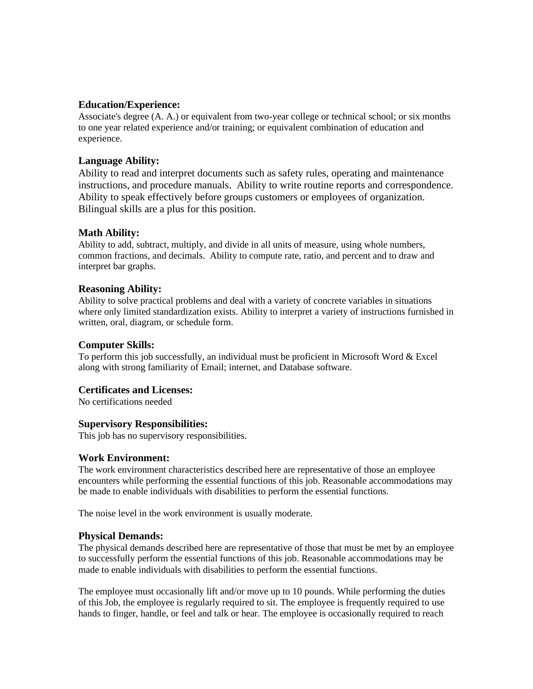### **Education/Experience:**

Associate's degree (A. A.) or equivalent from two-year college or technical school; or six months to one year related experience and/or training; or equivalent combination of education and experience.

# **Language Ability:**

Ability to read and interpret documents such as safety rules, operating and maintenance instructions, and procedure manuals. Ability to write routine reports and correspondence. Ability to speak effectively before groups customers or employees of organization. Bilingual skills are a plus for this position.

## **Math Ability:**

Ability to add, subtract, multiply, and divide in all units of measure, using whole numbers, common fractions, and decimals. Ability to compute rate, ratio, and percent and to draw and interpret bar graphs.

#### **Reasoning Ability:**

Ability to solve practical problems and deal with a variety of concrete variables in situations where only limited standardization exists. Ability to interpret a variety of instructions furnished in written, oral, diagram, or schedule form.

#### **Computer Skills:**

To perform this job successfully, an individual must be proficient in Microsoft Word & Excel along with strong familiarity of Email; internet, and Database software.

#### **Certificates and Licenses:**

No certifications needed

#### **Supervisory Responsibilities:**

This job has no supervisory responsibilities.

#### **Work Environment:**

The work environment characteristics described here are representative of those an employee encounters while performing the essential functions of this job. Reasonable accommodations may be made to enable individuals with disabilities to perform the essential functions.

The noise level in the work environment is usually moderate.

#### **Physical Demands:**

The physical demands described here are representative of those that must be met by an employee to successfully perform the essential functions of this job. Reasonable accommodations may be made to enable individuals with disabilities to perform the essential functions.

The employee must occasionally lift and/or move up to 10 pounds. While performing the duties of this Job, the employee is regularly required to sit. The employee is frequently required to use hands to finger, handle, or feel and talk or hear. The employee is occasionally required to reach